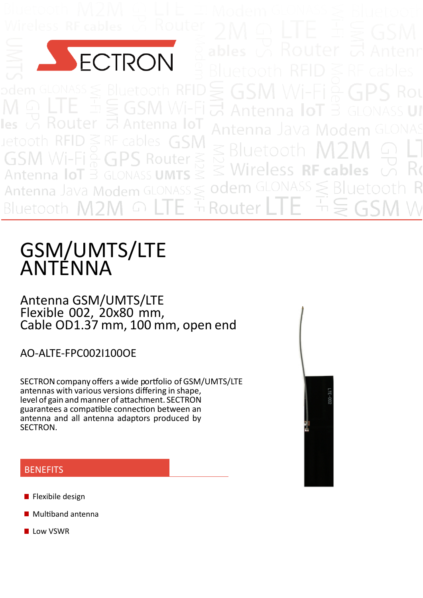

uetoot

Rout

# GSM/UMTS/LTE ANTENNA

Antenna GSM/UMTS/LTE Flexible 002, 20x80 mm, Cable OD1.37 mm, 100 mm, open end

AO‐ALTE‐FPC002I100OE

SECTRON company offers a wide portfolio of GSM/UMTS/LTE antennas with various versions differing in shape, level of gain and manner of attachment. SECTRON guarantees a compatible connection between an antenna and all antenna adaptors produced by SECTRON.



#### **BENEFITS**

- **Flexibile design**
- Multiband antenna
- **Low VSWR**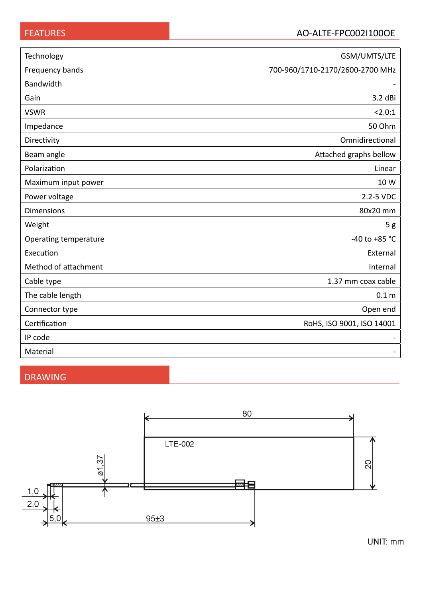| Technology            | GSM/UMTS/LTE                    |  |  |
|-----------------------|---------------------------------|--|--|
| Frequency bands       | 700-960/1710-2170/2600-2700 MHz |  |  |
| Bandwidth             |                                 |  |  |
| Gain                  | 3.2 dBi                         |  |  |
| <b>VSWR</b>           | 2.0:1                           |  |  |
| Impedance             | 50 Ohm                          |  |  |
| Directivity           | Omnidirectional                 |  |  |
| Beam angle            | Attached graphs bellow          |  |  |
| Polarization          | Linear                          |  |  |
| Maximum input power   | 10 W                            |  |  |
| Power voltage         | 2.2-5 VDC                       |  |  |
| <b>Dimensions</b>     | 80x20 mm                        |  |  |
| Weight                | 5g                              |  |  |
| Operating temperature | -40 to +85 $^{\circ}$ C         |  |  |
| Execution             | External                        |  |  |
| Method of attachment  | Internal                        |  |  |
| Cable type            | 1.37 mm coax cable              |  |  |
| The cable length      | 0.1 <sub>m</sub>                |  |  |
| Connector type        | Open end                        |  |  |
| Certification         | RoHS, ISO 9001, ISO 14001       |  |  |
| IP code               |                                 |  |  |
| Material              |                                 |  |  |

# DRAWING

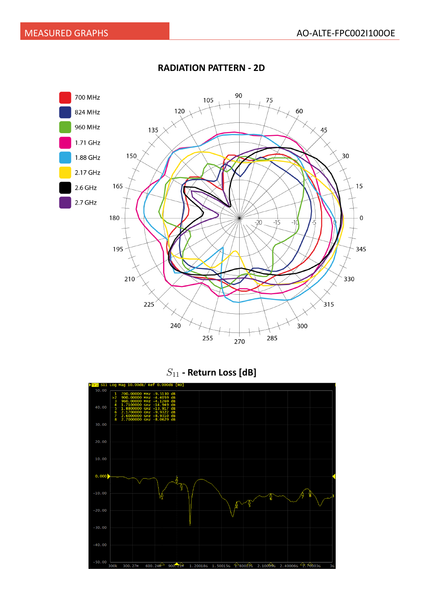

#### **RADIATION PATTERN - 2D**